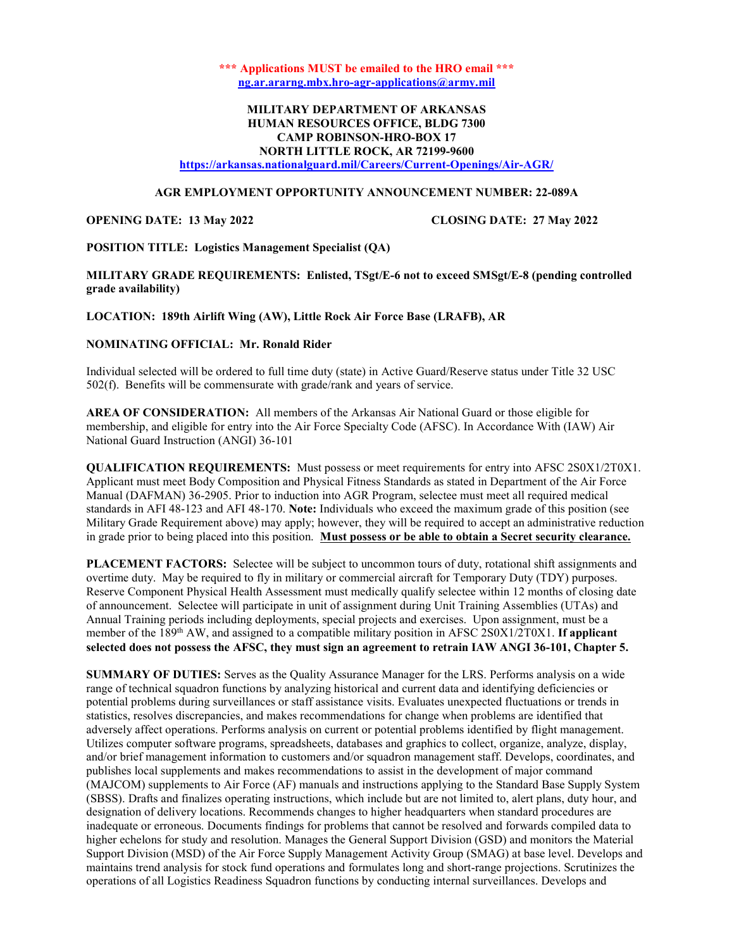\*\*\* Applications MUST be emailed to the HRO email \*\*\* ng.ar.ararng.mbx.hro-agr-applications@army.mil

# MILITARY DEPARTMENT OF ARKANSAS HUMAN RESOURCES OFFICE, BLDG 7300 CAMP ROBINSON-HRO-BOX 17 NORTH LITTLE ROCK, AR 72199-9600

https://arkansas.nationalguard.mil/Careers/Current-Openings/Air-AGR/

## AGR EMPLOYMENT OPPORTUNITY ANNOUNCEMENT NUMBER: 22-089A

OPENING DATE: 13 May 2022 CLOSING DATE: 27 May 2022

POSITION TITLE: Logistics Management Specialist (QA)

MILITARY GRADE REQUIREMENTS: Enlisted, TSgt/E-6 not to exceed SMSgt/E-8 (pending controlled grade availability)

LOCATION: 189th Airlift Wing (AW), Little Rock Air Force Base (LRAFB), AR

# NOMINATING OFFICIAL: Mr. Ronald Rider

Individual selected will be ordered to full time duty (state) in Active Guard/Reserve status under Title 32 USC 502(f). Benefits will be commensurate with grade/rank and years of service.

AREA OF CONSIDERATION: All members of the Arkansas Air National Guard or those eligible for membership, and eligible for entry into the Air Force Specialty Code (AFSC). In Accordance With (IAW) Air National Guard Instruction (ANGI) 36-101

QUALIFICATION REQUIREMENTS: Must possess or meet requirements for entry into AFSC 2S0X1/2T0X1. Applicant must meet Body Composition and Physical Fitness Standards as stated in Department of the Air Force Manual (DAFMAN) 36-2905. Prior to induction into AGR Program, selectee must meet all required medical standards in AFI 48-123 and AFI 48-170. Note: Individuals who exceed the maximum grade of this position (see Military Grade Requirement above) may apply; however, they will be required to accept an administrative reduction in grade prior to being placed into this position. Must possess or be able to obtain a Secret security clearance.

PLACEMENT FACTORS: Selectee will be subject to uncommon tours of duty, rotational shift assignments and overtime duty. May be required to fly in military or commercial aircraft for Temporary Duty (TDY) purposes. Reserve Component Physical Health Assessment must medically qualify selectee within 12 months of closing date of announcement. Selectee will participate in unit of assignment during Unit Training Assemblies (UTAs) and Annual Training periods including deployments, special projects and exercises. Upon assignment, must be a member of the 189<sup>th</sup> AW, and assigned to a compatible military position in AFSC 2S0X1/2T0X1. If applicant selected does not possess the AFSC, they must sign an agreement to retrain IAW ANGI 36-101, Chapter 5.

SUMMARY OF DUTIES: Serves as the Quality Assurance Manager for the LRS. Performs analysis on a wide range of technical squadron functions by analyzing historical and current data and identifying deficiencies or potential problems during surveillances or staff assistance visits. Evaluates unexpected fluctuations or trends in statistics, resolves discrepancies, and makes recommendations for change when problems are identified that adversely affect operations. Performs analysis on current or potential problems identified by flight management. Utilizes computer software programs, spreadsheets, databases and graphics to collect, organize, analyze, display, and/or brief management information to customers and/or squadron management staff. Develops, coordinates, and publishes local supplements and makes recommendations to assist in the development of major command (MAJCOM) supplements to Air Force (AF) manuals and instructions applying to the Standard Base Supply System (SBSS). Drafts and finalizes operating instructions, which include but are not limited to, alert plans, duty hour, and designation of delivery locations. Recommends changes to higher headquarters when standard procedures are inadequate or erroneous. Documents findings for problems that cannot be resolved and forwards compiled data to higher echelons for study and resolution. Manages the General Support Division (GSD) and monitors the Material Support Division (MSD) of the Air Force Supply Management Activity Group (SMAG) at base level. Develops and maintains trend analysis for stock fund operations and formulates long and short-range projections. Scrutinizes the operations of all Logistics Readiness Squadron functions by conducting internal surveillances. Develops and